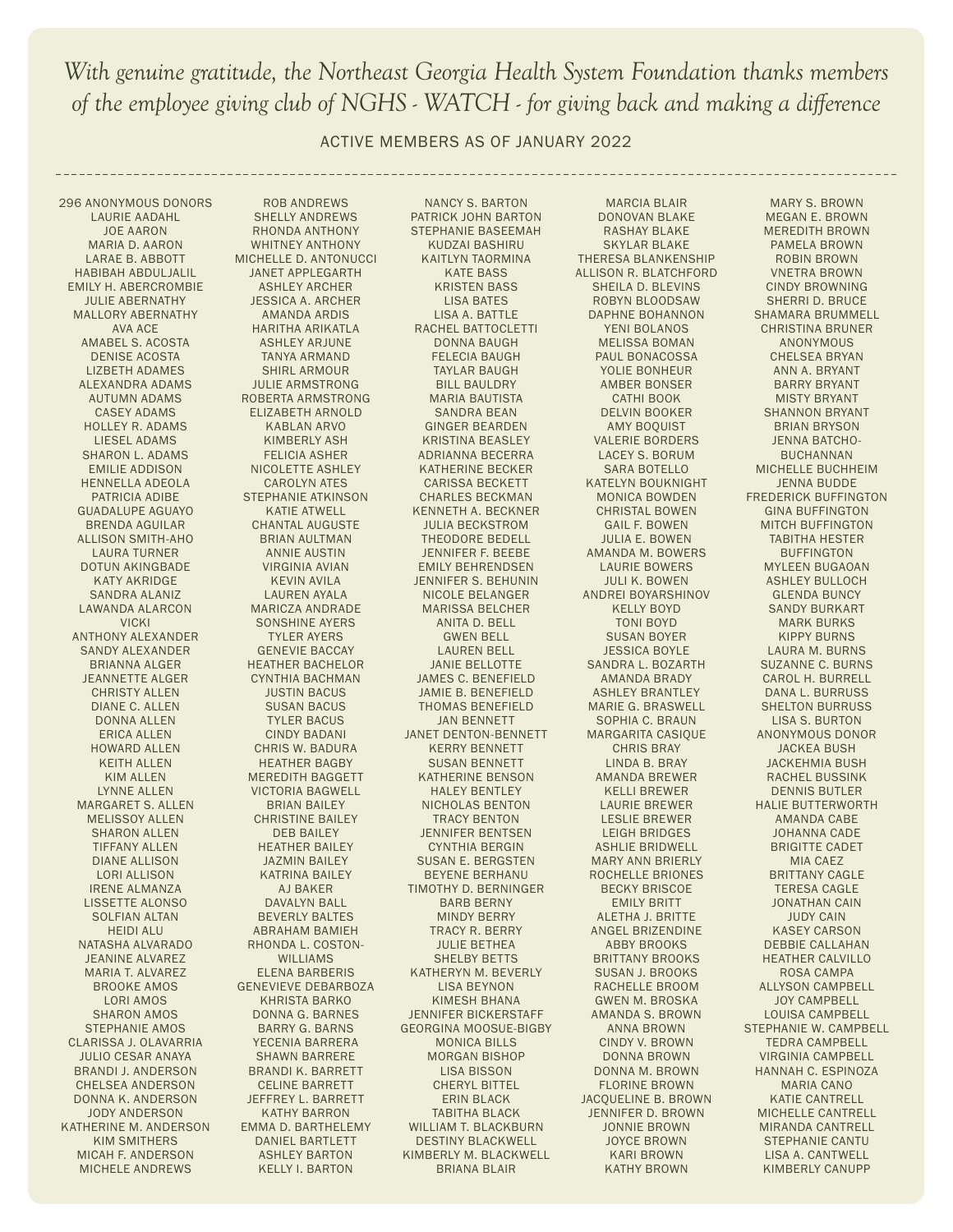ACTIVE MEMBERS AS OF JANUARY 2022

296 ANONYMOUS DONORS LAURIE AADAHL JOE AARON MARIA D. AARON LARAE B. ABBOTT HABIBAH ABDULJALIL EMILY H. ABERCROMBIE JULIE ABERNATHY MALLORY ABERNATHY AVA ACE AMABEL S. ACOSTA DENISE ACOSTA LIZBETH ADAMES ALEXANDRA ADAMS AUTUMN ADAMS CASEY ADAMS HOLLEY R. ADAMS LIESEL ADAMS SHARON L. ADAMS EMILIE ADDISON HENNELLA ADEOLA PATRICIA ADIBE GUADALUPE AGUAYO BRENDA AGUILAR ALLISON SMITH-AHO LAURA TURNER DOTUN AKINGBADE KATY AKRIDGE SANDRA ALANIZ LAWANDA ALARCON VICKI ANTHONY ALEXANDER SANDY ALEXANDER BRIANNA ALGER JEANNETTE ALGER CHRISTY ALLEN DIANE C. ALLEN DONNA ALLEN ERICA ALLEN HOWARD ALLEN KEITH ALLEN KIM ALLEN LYNNE ALLEN MARGARET S. ALLEN MELISSOY ALLEN SHARON ALLEN TIFFANY ALLEN DIANE ALLISON LORI ALLISON IRENE ALMANZA LISSETTE ALONSO SOLFIAN ALTAN HEIDI ALU NATASHA ALVARADO JEANINE ALVAREZ MARIA T. ALVAREZ BROOKE AMOS LORI AMOS SHARON AMOS STEPHANIE AMOS CLARISSA J. OLAVARRIA JULIO CESAR ANAYA BRANDI J. ANDERSON CHELSEA ANDERSON DONNA K. ANDERSON JODY ANDERSON KATHERINE M. ANDERSON KIM SMITHERS MICAH F. ANDERSON MICHELE ANDREWS

ROB ANDREWS SHELLY ANDREWS RHONDA ANTHONY WHITNEY ANTHONY MICHELLE D. ANTONUCCI JANET APPLEGARTH ASHLEY ARCHER JESSICA A. ARCHER AMANDA ARDIS HARITHA ARIKATLA ASHLEY ARJUNE TANYA ARMAND SHIRL ARMOUR JULIE ARMSTRONG ROBERTA ARMSTRONG ELIZABETH ARNOLD KABLAN ARVO KIMBERLY ASH FELICIA ASHER NICOLETTE ASHLEY CAROLYN ATES STEPHANIE ATKINSON KATIE ATWELL CHANTAL AUGUSTE BRIAN AULTMAN ANNIE AUSTIN VIRGINIA AVIAN KEVIN AVILA LAUREN AYALA MARICZA ANDRADE SONSHINE AYERS TYLER AYERS GENEVIE BACCAY HEATHER BACHELOR CYNTHIA BACHMAN JUSTIN BACUS SUSAN BACUS TYLER BACUS CINDY BADANI CHRIS W. BADURA HEATHER BAGBY MEREDITH BAGGETT VICTORIA BAGWELL BRIAN BAILEY CHRISTINE BAILEY DEB BAILEY HEATHER BAILEY JAZMIN BAILEY KATRINA BAILEY AJ BAKER DAVALYN BALL BEVERLY BALTES ABRAHAM BAMIEH RHONDA L. COSTON-WILLIAMS ELENA BARBERIS GENEVIEVE DEBARBOZA KHRISTA BARKO DONNA G. BARNES BARRY G. BARNS YECENIA BARRERA SHAWN BARRERE BRANDI K. BARRETT CELINE BARRETT JEFFREY L. BARRETT KATHY BARRON EMMA D. BARTHELEMY DANIEL BARTLETT ASHLEY BARTON KELLY I. BARTON

NANCY S. BARTON PATRICK JOHN BARTON STEPHANIE BASEEMAH KUDZAI BASHIRU KAITLYN TAORMINA KATE BASS KRISTEN BASS LISA BATES LISA A. BATTLE RACHEL BATTOCLETTI DONNA BAUGH FELECIA BAUGH TAYLAR BAUGH BILL BAULDRY MARIA BAUTISTA SANDRA BEAN GINGER BEARDEN KRISTINA BEASLEY ADRIANNA BECERRA KATHERINE BECKER CARISSA BECKETT CHARLES BECKMAN KENNETH A. BECKNER JULIA BECKSTROM THEODORE BEDELL JENNIFER F. BEEBE EMILY BEHRENDSEN JENNIFER S. BEHUNIN NICOLE BELANGER MARISSA BELCHER ANITA D. BELL GWEN BELL LAUREN BELL JANIE BELLOTTE JAMES C. BENEFIELD JAMIE B. BENEFIELD THOMAS BENEFIELD JAN BENNETT JANET DENTON-BENNETT KERRY BENNETT SUSAN BENNETT KATHERINE BENSON HALEY BENTLEY NICHOLAS BENTON TRACY BENTON JENNIFER BENTSEN CYNTHIA BERGIN SUSAN E. BERGSTEN BEYENE BERHANU TIMOTHY D. BERNINGER BARB BERNY MINDY BERRY TRACY R. BERRY JULIE BETHEA SHELBY BETTS KATHERYN M. BEVERLY LISA BEYNON KIMESH BHANA JENNIFER BICKERSTAFF GEORGINA MOOSUE-BIGBY MONICA BILLS MORGAN BISHOP LISA BISSON CHERYL BITTEL ERIN BLACK TABITHA BLACK WILLIAM T. BLACKBURN DESTINY BLACKWELL KIMBERLY M. BLACKWELL BRIANA BLAIR

MARCIA BLAIR DONOVAN BLAKE RASHAY BLAKE SKYLAR BLAKE THERESA BLANKENSHIP ALLISON R. BLATCHFORD SHEILA D. BLEVINS ROBYN BLOODSAW DAPHNE BOHANNON YENI BOLANOS MELISSA BOMAN PAUL BONACOSSA YOLIE BONHEUR AMBER BONSER CATHI BOOK DELVIN BOOKER AMY BOQUIST VALERIE BORDERS LACEY S. BORUM SARA BOTELLO KATELYN BOUKNIGHT MONICA BOWDEN CHRISTAL BOWEN GAIL F. BOWEN JULIA E. BOWEN AMANDA M. BOWERS LAURIE BOWERS JULI K. BOWEN ANDREI BOYARSHINOV KELLY BOYD TONI BOYD SUSAN BOYER JESSICA BOYLE SANDRA L. BOZARTH AMANDA BRADY ASHLEY BRANTLEY MARIE G. BRASWELL SOPHIA C. BRAUN MARGARITA CASIQUE CHRIS BRAY LINDA B. BRAY AMANDA BREWER KELLI BREWER LAURIE BREWER LESLIE BREWER LEIGH BRIDGES ASHLIE BRIDWELL MARY ANN BRIERLY ROCHELLE BRIONES BECKY BRISCOE EMILY BRITT ALETHA J. BRITTE ANGEL BRIZENDINE ABBY BROOKS BRITTANY BROOKS SUSAN J. BROOKS RACHELLE BROOM GWEN M. BROSKA AMANDA S. BROWN ANNA BROWN CINDY V. BROWN DONNA BROWN DONNA M. BROWN FLORINE BROWN JACQUELINE B. BROWN JENNIFER D. BROWN JONNIE BROWN JOYCE BROWN KARI BROWN KATHY BROWN

MARY S. BROWN MEGAN E. BROWN MEREDITH BROWN PAMELA BROWN ROBIN BROWN VNETRA BROWN CINDY BROWNING SHERRI D. BRUCE SHAMARA BRUMMELL CHRISTINA BRUNER ANONYMOUS CHELSEA BRYAN ANN A. BRYANT BARRY BRYANT MISTY BRYANT SHANNON BRYANT BRIAN BRYSON JENNA BATCHO-BUCHANNAN MICHELLE BUCHHEIM JENNA BUDDE FREDERICK BUFFINGTON GINA BUFFINGTON MITCH BUFFINGTON TABITHA HESTER BUFFINGTON MYLEEN BUGAOAN ASHLEY BULLOCH GLENDA BUNCY SANDY BURKART MARK BURKS KIPPY BURNS LAURA M. BURNS SUZANNE C. BURNS CAROL H. BURRELL DANA L. BURRUSS SHELTON BURRUSS LISA S. BURTON ANONYMOUS DONOR JACKEA BUSH JACKEHMIA BUSH RACHEL BUSSINK DENNIS BUTLER HALIE BUTTERWORTH AMANDA CABE JOHANNA CADE BRIGITTE CADET MIA CAEZ BRITTANY CAGLE TERESA CAGLE JONATHAN CAIN JUDY CAIN KASEY CARSON DEBBIE CALLAHAN HEATHER CALVILLO ROSA CAMPA ALLYSON CAMPBELL JOY CAMPBELL LOUISA CAMPBELL STEPHANIE W. CAMPBELL TEDRA CAMPBELL VIRGINIA CAMPBELL HANNAH C. ESPINOZA MARIA CANO KATIE CANTRELL MICHELLE CANTRELL MIRANDA CANTRELL STEPHANIE CANTU LISA A. CANTWELL KIMBERLY CANUPP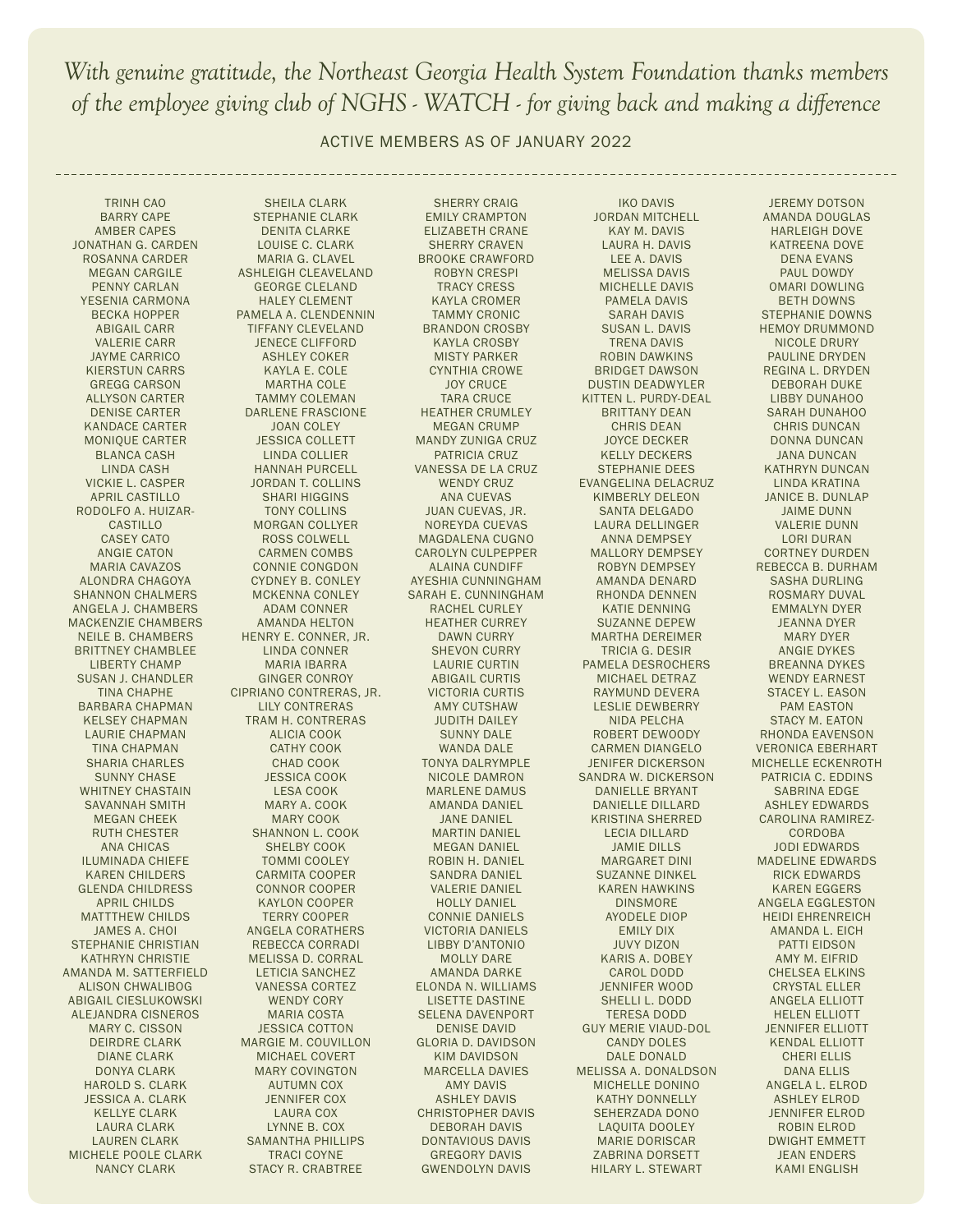ACTIVE MEMBERS AS OF JANUARY 2022

TRINH CAO BARRY CAPE AMBER CAPES JONATHAN G. CARDEN ROSANNA CARDER MEGAN CARGILE PENNY CARLAN YESENIA CARMONA BECKA HOPPER ABIGAIL CARR VALERIE CARR JAYME CARRICO KIERSTUN CARRS GREGG CARSON ALLYSON CARTER DENISE CARTER KANDACE CARTER MONIQUE CARTER BLANCA CASH LINDA CASH VICKIE L. CASPER APRIL CASTILLO RODOLFO A. HUIZAR-CASTILLO CASEY CATO ANGIE CATON MARIA CAVAZOS ALONDRA CHAGOYA SHANNON CHALMERS ANGELA J. CHAMBERS MACKENZIE CHAMBERS NEILE B. CHAMBERS BRITTNEY CHAMBLEE LIBERTY CHAMP SUSAN J. CHANDLER TINA CHAPHE BARBARA CHAPMAN KELSEY CHAPMAN LAURIE CHAPMAN TINA CHAPMAN SHARIA CHARLES SUNNY CHASE WHITNEY CHASTAIN SAVANNAH SMITH MEGAN CHEEK RUTH CHESTER ANA CHICAS ILUMINADA CHIEFE KAREN CHILDERS GLENDA CHILDRESS APRIL CHILDS MATTTHEW CHILDS JAMES A. CHOI STEPHANIE CHRISTIAN KATHRYN CHRISTIE AMANDA M. SATTERFIELD ALISON CHWALIBOG ABIGAIL CIESLUKOWSKI ALEJANDRA CISNEROS MARY C. CISSON DEIRDRE CLARK DIANE CLARK DONYA CLARK HAROLD S. CLARK JESSICA A. CLARK KELLYE CLARK LAURA CLARK LAUREN CLARK MICHELE POOLE CLARK NANCY CLARK

SHEILA CLARK STEPHANIE CLARK DENITA CLARKE LOUISE C. CLARK MARIA G. CLAVEL ASHLEIGH CLEAVELAND GEORGE CLELAND HALEY CLEMENT PAMELA A. CLENDENNIN TIFFANY CLEVELAND JENECE CLIFFORD ASHLEY COKER KAYLA E. COLE MARTHA COLE TAMMY COLEMAN DARLENE FRASCIONE JOAN COLEY JESSICA COLLETT LINDA COLLIER HANNAH PURCELL JORDAN T. COLLINS SHARI HIGGINS TONY COLLINS MORGAN COLLYER ROSS COLWELL CARMEN COMBS CONNIE CONGDON CYDNEY B. CONLEY MCKENNA CONLEY ADAM CONNER AMANDA HELTON HENRY E. CONNER, JR. LINDA CONNER MARIA IBARRA GINGER CONROY CIPRIANO CONTRERAS, JR. LILY CONTRERAS TRAM H. CONTRERAS ALICIA COOK CATHY COOK CHAD COOK JESSICA COOK LESA COOK MARY A. COOK MARY COOK SHANNON L. COOK SHELBY COOK TOMMI COOLEY CARMITA COOPER CONNOR COOPER KAYLON COOPER TERRY COOPER ANGELA CORATHERS REBECCA CORRADI MELISSA D. CORRAL LETICIA SANCHEZ VANESSA CORTEZ WENDY CORY MARIA COSTA JESSICA COTTON MARGIE M. COUVILLON MICHAEL COVERT MARY COVINGTON AUTUMN COX JENNIFER COX LAURA COX LYNNE B. COX SAMANTHA PHILLIPS TRACI COYNE STACY R. CRABTREE

SHERRY CRAIG EMILY CRAMPTON ELIZABETH CRANE SHERRY CRAVEN BROOKE CRAWFORD ROBYN CRESPI TRACY CRESS KAYLA CROMER TAMMY CRONIC BRANDON CROSBY KAYLA CROSBY MISTY PARKER CYNTHIA CROWE JOY CRUCE TARA CRUCE HEATHER CRUMLEY MEGAN CRUMP MANDY ZUNIGA CRUZ PATRICIA CRUZ VANESSA DE LA CRUZ WENDY CRUZ ANA CUEVAS JUAN CUEVAS, JR. NOREYDA CUEVAS MAGDALENA CUGNO CAROLYN CULPEPPER ALAINA CUNDIFF AYESHIA CUNNINGHAM SARAH E. CUNNINGHAM RACHEL CURLEY HEATHER CURREY DAWN CURRY SHEVON CURRY LAURIE CURTIN ABIGAIL CURTIS VICTORIA CURTIS AMY CUTSHAW JUDITH DAILEY SUNNY DALE WANDA DALE TONYA DALRYMPLE NICOLE DAMRON MARLENE DAMUS AMANDA DANIEL JANE DANIEL MARTIN DANIEL MEGAN DANIEL ROBIN H. DANIEL SANDRA DANIEL VALERIE DANIEL HOLLY DANIEL CONNIE DANIELS VICTORIA DANIELS LIBBY D'ANTONIO MOLLY DARE AMANDA DARKE ELONDA N. WILLIAMS LISETTE DASTINE SELENA DAVENPORT DENISE DAVID GLORIA D. DAVIDSON KIM DAVIDSON MARCELLA DAVIES AMY DAVIS ASHLEY DAVIS CHRISTOPHER DAVIS DEBORAH DAVIS DONTAVIOUS DAVIS GREGORY DAVIS GWENDOLYN DAVIS

IKO DAVIS JORDAN MITCHELL KAY M. DAVIS LAURA H. DAVIS LEE A. DAVIS MELISSA DAVIS MICHELLE DAVIS PAMELA DAVIS SARAH DAVIS SUSAN L. DAVIS TRENA DAVIS ROBIN DAWKINS BRIDGET DAWSON DUSTIN DEADWYLER KITTEN L. PURDY-DEAL BRITTANY DEAN CHRIS DEAN JOYCE DECKER KELLY DECKERS STEPHANIE DEES EVANGELINA DELACRUZ KIMBERLY DELEON SANTA DELGADO LAURA DELLINGER ANNA DEMPSEY MALLORY DEMPSEY ROBYN DEMPSEY AMANDA DENARD RHONDA DENNEN KATIE DENNING SUZANNE DEPEW MARTHA DEREIMER TRICIA G. DESIR PAMELA DESROCHERS MICHAEL DETRAZ RAYMUND DEVERA LESLIE DEWBERRY NIDA PELCHA ROBERT DEWOODY CARMEN DIANGELO JENIFER DICKERSON SANDRA W. DICKERSON DANIELLE BRYANT DANIELLE DILLARD KRISTINA SHERRED LECIA DILLARD JAMIE DILLS MARGARET DINI SUZANNE DINKEL KAREN HAWKINS DINSMORE AYODELE DIOP EMILY DIX JUVY DIZON KARIS A. DOBEY CAROL DODD JENNIFER WOOD SHELLI L. DODD TERESA DODD GUY MERIE VIAUD-DOL CANDY DOLES DALE DONALD MELISSA A. DONALDSON MICHELLE DONINO KATHY DONNELLY SEHERZADA DONO LAQUITA DOOLEY MARIE DORISCAR ZABRINA DORSETT HILARY L. STEWART

JEREMY DOTSON AMANDA DOUGLAS HARLEIGH DOVE KATREENA DOVE DENA EVANS PAUL DOWDY OMARI DOWLING BETH DOWNS STEPHANIE DOWNS HEMOY DRUMMOND NICOLE DRURY PAULINE DRYDEN REGINA L. DRYDEN DEBORAH DUKE LIBBY DUNAHOO SARAH DUNAHOO CHRIS DUNCAN DONNA DUNCAN JANA DUNCAN KATHRYN DUNCAN LINDA KRATINA JANICE B. DUNLAP JAIME DUNN VALERIE DUNN LORI DURAN CORTNEY DURDEN REBECCA B. DURHAM SASHA DURLING ROSMARY DUVAL EMMALYN DYER JEANNA DYER MARY DYER ANGIE DYKES BREANNA DYKES WENDY EARNEST STACEY L. EASON PAM EASTON STACY M. EATON RHONDA EAVENSON VERONICA EBERHART MICHELLE ECKENROTH PATRICIA C. EDDINS SABRINA EDGE ASHLEY EDWARDS CAROLINA RAMIREZ-**CORDOBA** JODI EDWARDS MADELINE EDWARDS RICK EDWARDS KAREN EGGERS ANGELA EGGLESTON HEIDI EHRENREICH AMANDA L. EICH PATTI EIDSON AMY M. EIFRID CHELSEA ELKINS CRYSTAL ELLER ANGELA ELLIOTT HELEN ELLIOTT JENNIFER ELLIOTT KENDAL ELLIOTT CHERI ELLIS DANA ELLIS ANGELA L. ELROD ASHLEY ELROD JENNIFER ELROD ROBIN ELROD DWIGHT EMMETT JEAN ENDERS KAMI ENGLISH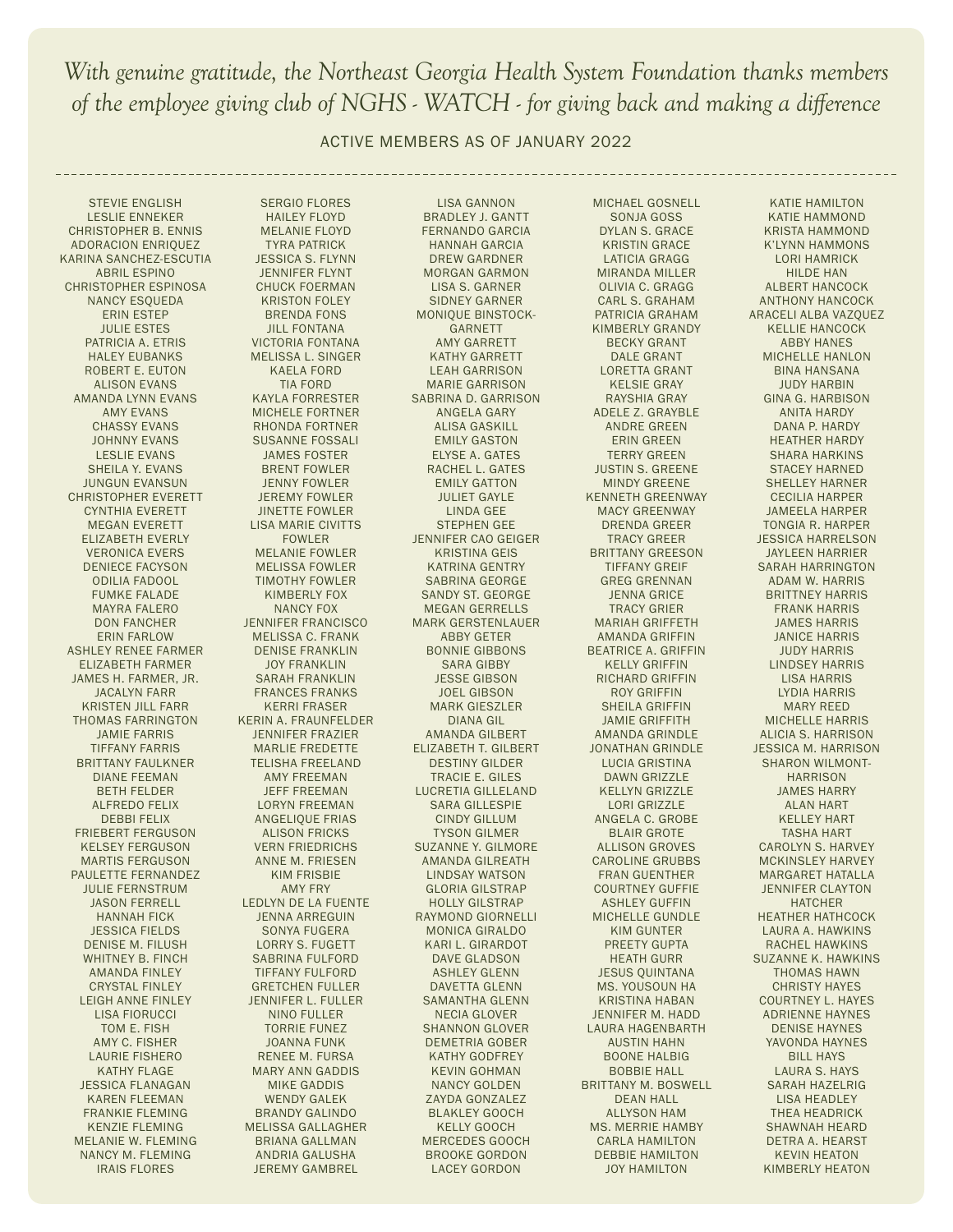ACTIVE MEMBERS AS OF JANUARY 2022

STEVIE ENGLISH LESLIE ENNEKER CHRISTOPHER B. ENNIS ADORACION ENRIQUEZ KARINA SANCHEZ-ESCUTIA ABRIL ESPINO CHRISTOPHER ESPINOSA NANCY ESQUEDA ERIN ESTEP JULIE ESTES PATRICIA A. ETRIS HALEY EUBANKS ROBERT E. EUTON ALISON EVANS AMANDA LYNN EVANS AMY EVANS CHASSY EVANS JOHNNY EVANS LESLIE EVANS SHEILA Y. EVANS JUNGUN EVANSUN CHRISTOPHER EVERETT CYNTHIA EVERETT MEGAN EVERETT ELIZABETH EVERLY VERONICA EVERS DENIECE FACYSON ODILIA FADOOL FUMKE FALADE MAYRA FALERO DON FANCHER ERIN FARLOW ASHLEY RENEE FARMER ELIZABETH FARMER JAMES H. FARMER, JR. JACALYN FARR KRISTEN JILL FARR THOMAS FARRINGTON JAMIE FARRIS TIFFANY FARRIS BRITTANY FAULKNER DIANE FEEMAN BETH FELDER ALFREDO FELIX DEBBI FELIX FRIEBERT FERGUSON KELSEY FERGUSON MARTIS FERGUSON PAULETTE FERNANDEZ JULIE FERNSTRUM JASON FERRELL HANNAH FICK JESSICA FIELDS DENISE M. FILUSH WHITNEY B. FINCH AMANDA FINLEY CRYSTAL FINLEY LEIGH ANNE FINLEY LISA FIORUCCI TOM E. FISH AMY C. FISHER LAURIE FISHERO KATHY FLAGE JESSICA FLANAGAN KAREN FLEEMAN FRANKIE FLEMING KENZIE FLEMING MELANIE W. FLEMING NANCY M. FLEMING IRAIS FLORES

SERGIO FLORES HAILEY FLOYD MELANIE FLOYD TYRA PATRICK JESSICA S. FLYNN JENNIFER FLYNT CHUCK FOERMAN KRISTON FOLEY BRENDA FONS JILL FONTANA VICTORIA FONTANA MELISSA L. SINGER KAELA FORD TIA FORD KAYLA FORRESTER MICHELE FORTNER RHONDA FORTNER SUSANNE FOSSALI JAMES FOSTER BRENT FOWLER JENNY FOWLER JEREMY FOWLER JINETTE FOWLER LISA MARIE CIVITTS FOWLER MELANIE FOWLER MELISSA FOWLER TIMOTHY FOWLER KIMBERLY FOX NANCY FOX JENNIFER FRANCISCO MELISSA C. FRANK DENISE FRANKLIN JOY FRANKLIN SARAH FRANKLIN FRANCES FRANKS KERRI FRASER KERIN A. FRAUNFELDER JENNIFER FRAZIER MARLIE FREDETTE TELISHA FREELAND AMY FREEMAN JEFF FREEMAN LORYN FREEMAN ANGELIQUE FRIAS ALISON FRICKS VERN FRIEDRICHS ANNE M. FRIESEN KIM FRISBIE AMY FRY LEDLYN DE LA FUENTE JENNA ARREGUIN SONYA FUGERA LORRY S. FUGETT SABRINA FULFORD TIFFANY FULFORD GRETCHEN FULLER JENNIFER L. FULLER NINO FULLER TORRIE FUNEZ JOANNA FUNK RENEE M. FURSA MARY ANN GADDIS MIKE GADDIS WENDY GALEK BRANDY GALINDO MELISSA GALLAGHER BRIANA GALLMAN ANDRIA GALUSHA JEREMY GAMBREL

LISA GANNON BRADLEY J. GANTT FERNANDO GARCIA HANNAH GARCIA DREW GARDNER MORGAN GARMON LISA S. GARNER SIDNEY GARNER MONIQUE BINSTOCK-GARNETT AMY GARRETT KATHY GARRETT LEAH GARRISON MARIE GARRISON SABRINA D. GARRISON ANGELA GARY ALISA GASKILL EMILY GASTON ELYSE A. GATES RACHEL L. GATES EMILY GATTON JULIET GAYLE LINDA GEE STEPHEN GEE JENNIFER CAO GEIGER KRISTINA GEIS KATRINA GENTRY SABRINA GEORGE SANDY ST. GEORGE MEGAN GERRELLS MARK GERSTENLAUER ABBY GETER BONNIE GIBBONS SARA GIBBY JESSE GIBSON JOEL GIBSON MARK GIESZLER DIANA GIL AMANDA GILBERT ELIZABETH T. GILBERT DESTINY GILDER TRACIE E. GILES LUCRETIA GILLELAND SARA GILLESPIE CINDY GILLUM TYSON GILMER SUZANNE Y. GILMORE AMANDA GILREATH LINDSAY WATSON GLORIA GILSTRAP HOLLY GILSTRAP RAYMOND GIORNELLI MONICA GIRALDO KARI L. GIRARDOT DAVE GLADSON ASHLEY GLENN DAVETTA GLENN SAMANTHA GLENN NECIA GLOVER SHANNON GLOVER DEMETRIA GOBER KATHY GODFREY KEVIN GOHMAN NANCY GOLDEN ZAYDA GONZALEZ BLAKLEY GOOCH KELLY GOOCH MERCEDES GOOCH BROOKE GORDON LACEY GORDON

MICHAEL GOSNELL SONJA GOSS DYLAN S. GRACE KRISTIN GRACE LATICIA GRAGG MIRANDA MILLER OLIVIA C. GRAGG CARL S. GRAHAM PATRICIA GRAHAM KIMBERLY GRANDY BECKY GRANT DALE GRANT LORETTA GRANT KELSIE GRAY RAYSHIA GRAY ADELE Z. GRAYBLE ANDRE GREEN ERIN GREEN TERRY GREEN JUSTIN S. GREENE MINDY GREENE KENNETH GREENWAY MACY GREENWAY DRENDA GREER TRACY GREER BRITTANY GREESON TIFFANY GREIF GREG GRENNAN JENNA GRICE TRACY GRIER MARIAH GRIFFETH AMANDA GRIFFIN BEATRICE A. GRIFFIN KELLY GRIFFIN RICHARD GRIFFIN ROY GRIFFIN SHEILA GRIFFIN JAMIE GRIFFITH AMANDA GRINDLE JONATHAN GRINDLE LUCIA GRISTINA DAWN GRIZZLE KELLYN GRIZZLE LORI GRIZZLE ANGELA C. GROBE BLAIR GROTE ALLISON GROVES CAROLINE GRUBBS FRAN GUENTHER COURTNEY GUFFIE ASHLEY GUFFIN MICHELLE GUNDLE KIM GUNTER PREETY GUPTA HEATH GURR JESUS QUINTANA MS. YOUSOUN HA KRISTINA HABAN JENNIFER M. HADD LAURA HAGENBARTH AUSTIN HAHN BOONE HALBIG BOBBIE HALL BRITTANY M. BOSWELL DEAN HALL ALLYSON HAM MS. MERRIE HAMBY CARLA HAMILTON DEBBIE HAMILTON JOY HAMILTON

KATIE HAMILTON KATIE HAMMOND KRISTA HAMMOND K'LYNN HAMMONS LORI HAMRICK HILDE HAN ALBERT HANCOCK ANTHONY HANCOCK ARACELI ALBA VAZQUEZ KELLIE HANCOCK ABBY HANES MICHELLE HANLON BINA HANSANA JUDY HARBIN GINA G. HARBISON ANITA HARDY DANA P. HARDY HEATHER HARDY SHARA HARKINS STACEY HARNED SHELLEY HARNER CECILIA HARPER JAMEELA HARPER TONGIA R. HARPER JESSICA HARRELSON JAYLEEN HARRIER SARAH HARRINGTON ADAM W. HARRIS BRITTNEY HARRIS FRANK HARRIS JAMES HARRIS JANICE HARRIS JUDY HARRIS LINDSEY HARRIS LISA HARRIS LYDIA HARRIS MARY REED MICHELLE HARRIS ALICIA S. HARRISON JESSICA M. HARRISON SHARON WILMONT-**HARRISON** JAMES HARRY ALAN HART KELLEY HART TASHA HART CAROLYN S. HARVEY MCKINSLEY HARVEY MARGARET HATALLA JENNIFER CLAYTON HATCHER HEATHER HATHCOCK LAURA A. HAWKINS RACHEL HAWKINS SUZANNE K. HAWKINS THOMAS HAWN CHRISTY HAYES COURTNEY L. HAYES ADRIENNE HAYNES DENISE HAYNES YAVONDA HAYNES BILL HAYS LAURA S. HAYS SARAH HAZELRIG LISA HEADLEY THEA HEADRICK SHAWNAH HEARD DETRA A. HEARST KEVIN HEATON KIMBERLY HEATON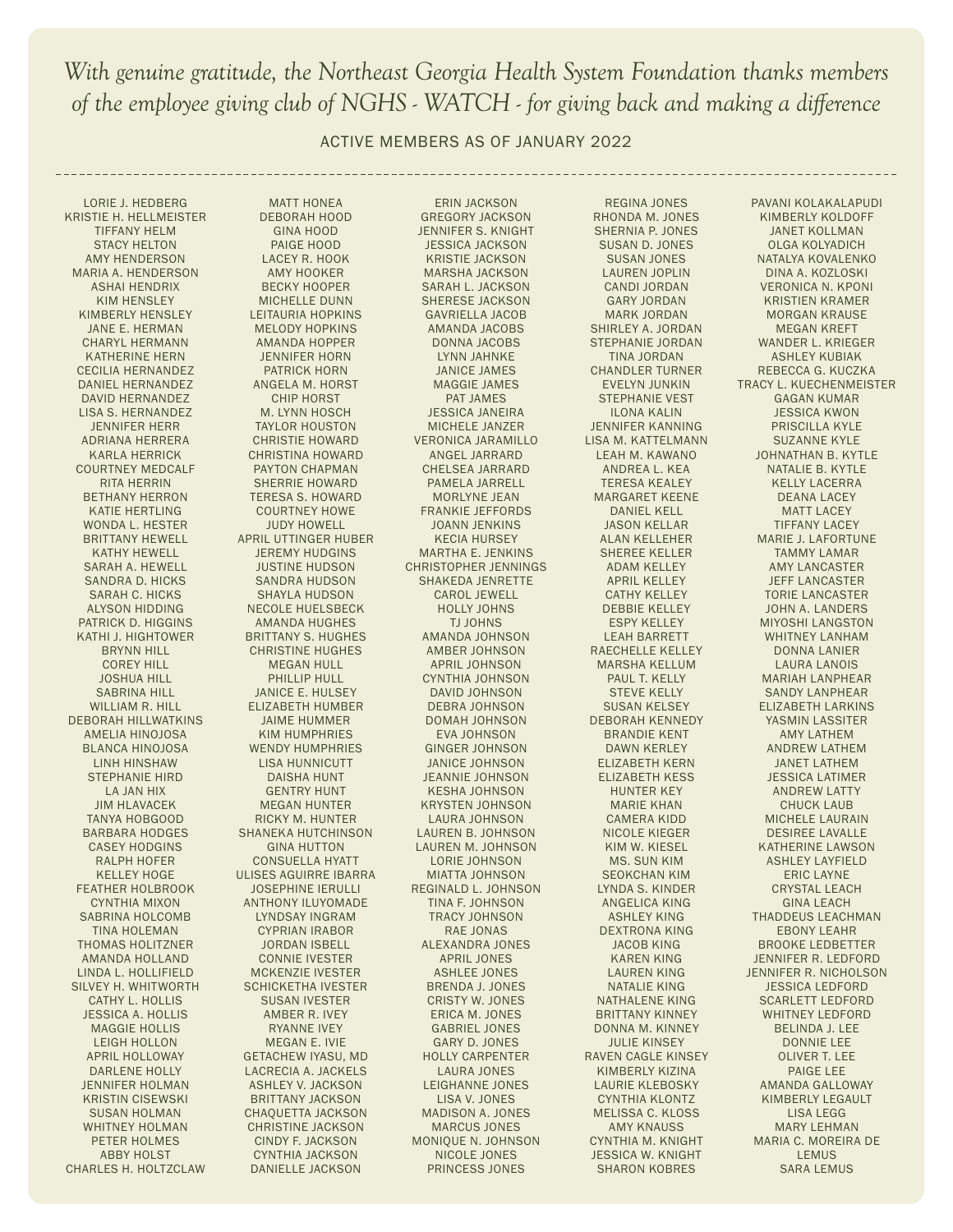ACTIVE MEMBERS AS OF JANUARY 2022

LORIE J. HEDBERG KRISTIE H. HELLMEISTER TIFFANY HELM STACY HELTON AMY HENDERSON MARIA A. HENDERSON ASHAI HENDRIX KIM HENSLEY KIMBERLY HENSLEY JANE E. HERMAN CHARYL HERMANN KATHERINE HERN CECILIA HERNANDEZ DANIEL HERNANDEZ DAVID HERNANDEZ LISA S. HERNANDEZ JENNIFER HERR ADRIANA HERRERA KARLA HERRICK COURTNEY MEDCALF RITA HERRIN BETHANY HERRON KATIE HERTLING WONDA L. HESTER BRITTANY HEWELL KATHY HEWELL SARAH A. HEWELL SANDRA D. HICKS SARAH C. HICKS ALYSON HIDDING PATRICK D. HIGGINS KATHI J. HIGHTOWER BRYNN HILL COREY HILL JOSHUA HILL SABRINA HILL WILLIAM R. HILL DEBORAH HILLWATKINS AMELIA HINOJOSA BLANCA HINOJOSA LINH HINSHAW STEPHANIE HIRD LA JAN HIX JIM HLAVACEK TANYA HOBGOOD BARBARA HODGES CASEY HODGINS RALPH HOFER KELLEY HOGE FEATHER HOLBROOK CYNTHIA MIXON SABRINA HOLCOMB TINA HOLEMAN THOMAS HOLITZNER AMANDA HOLLAND LINDA L. HOLLIFIELD SILVEY H. WHITWORTH CATHY L. HOLLIS JESSICA A. HOLLIS MAGGIE HOLLIS LEIGH HOLLON APRIL HOLLOWAY DARLENE HOLLY JENNIFER HOLMAN KRISTIN CISEWSKI SUSAN HOLMAN WHITNEY HOLMAN PETER HOLMES ABBY HOLST CHARLES H. HOLTZCLAW

MATT HONEA DEBORAH HOOD GINA HOOD PAIGE HOOD LACEY R. HOOK AMY HOOKER BECKY HOOPER MICHELLE DUNN LEITAURIA HOPKINS MELODY HOPKINS AMANDA HOPPER JENNIFER HORN PATRICK HORN ANGELA M. HORST CHIP HORST M. LYNN HOSCH TAYLOR HOUSTON CHRISTIE HOWARD CHRISTINA HOWARD PAYTON CHAPMAN SHERRIE HOWARD TERESA S. HOWARD COURTNEY HOWE JUDY HOWELL APRIL UTTINGER HUBER JEREMY HUDGINS JUSTINE HUDSON SANDRA HUDSON SHAYLA HUDSON NECOLE HUELSBECK AMANDA HUGHES BRITTANY S. HUGHES CHRISTINE HUGHES MEGAN HULL PHILLIP HULL JANICE E. HULSEY ELIZABETH HUMBER JAIME HUMMER KIM HUMPHRIES WENDY HUMPHRIES LISA HUNNICUTT DAISHA HUNT GENTRY HUNT MEGAN HUNTER RICKY M. HUNTER SHANEKA HUTCHINSON GINA HUTTON CONSUELLA HYATT ULISES AGUIRRE IBARRA JOSEPHINE IERULLI ANTHONY ILUYOMADE LYNDSAY INGRAM CYPRIAN IRABOR JORDAN ISBELL CONNIE IVESTER MCKENZIE IVESTER SCHICKETHA IVESTER SUSAN IVESTER AMBER R. IVEY RYANNE IVEY MEGAN E. IVIE GETACHEW IYASU, MD LACRECIA A. JACKELS ASHLEY V. JACKSON BRITTANY JACKSON CHAQUETTA JACKSON CHRISTINE JACKSON CINDY F. JACKSON CYNTHIA JACKSON DANIELLE JACKSON

ERIN JACKSON GREGORY JACKSON JENNIFER S. KNIGHT JESSICA JACKSON KRISTIE JACKSON MARSHA JACKSON SARAH L. JACKSON SHERESE JACKSON GAVRIELLA JACOB AMANDA JACOBS DONNA JACOBS LYNN JAHNKE JANICE JAMES MAGGIE JAMES PAT JAMES JESSICA JANEIRA MICHELE JANZER VERONICA JARAMILLO ANGEL JARRARD CHELSEA JARRARD PAMELA JARRELL MORLYNE JEAN FRANKIE JEFFORDS JOANN JENKINS KECIA HURSEY MARTHA E. JENKINS CHRISTOPHER JENNINGS SHAKEDA JENRETTE CAROL JEWELL HOLLY JOHNS TJ JOHNS AMANDA JOHNSON AMBER JOHNSON APRIL JOHNSON CYNTHIA JOHNSON DAVID JOHNSON DEBRA JOHNSON DOMAH JOHNSON EVA JOHNSON GINGER JOHNSON JANICE JOHNSON JEANNIE JOHNSON KESHA JOHNSON KRYSTEN JOHNSON LAURA JOHNSON LAUREN B. JOHNSON LAUREN M. JOHNSON LORIE JOHNSON MIATTA JOHNSON REGINALD L. JOHNSON TINA F. JOHNSON TRACY JOHNSON RAE JONAS ALEXANDRA JONES APRIL JONES ASHLEE JONES BRENDA J. JONES CRISTY W. JONES ERICA M. JONES GABRIEL JONES GARY D. JONES HOLLY CARPENTER LAURA JONES LEIGHANNE JONES LISA V. JONES MADISON A. JONES MARCUS JONES MONIQUE N. JOHNSON NICOLE JONES PRINCESS JONES

REGINA JONES RHONDA M. JONES SHERNIA P. JONES SUSAN D. JONES SUSAN JONES LAUREN JOPLIN CANDI JORDAN GARY JORDAN MARK JORDAN SHIRLEY A. JORDAN STEPHANIE JORDAN TINA JORDAN CHANDLER TURNER EVELYN JUNKIN STEPHANIE VEST ILONA KALIN JENNIFER KANNING LISA M. KATTELMANN LEAH M. KAWANO ANDREA L. KEA TERESA KEALEY MARGARET KEENE DANIEL KELL JASON KELLAR ALAN KELLEHER SHEREE KELLER ADAM KELLEY APRIL KELLEY CATHY KELLEY DEBBIE KELLEY ESPY KELLEY LEAH BARRETT RAECHELLE KELLEY MARSHA KELLUM PAUL T. KELLY STEVE KELLY SUSAN KELSEY DEBORAH KENNEDY BRANDIE KENT DAWN KERLEY ELIZABETH KERN ELIZABETH KESS HUNTER KEY MARIE KHAN CAMERA KIDD NICOLE KIEGER KIM W. KIESEL MS. SUN KIM SEOKCHAN KIM LYNDA S. KINDER ANGELICA KING ASHLEY KING DEXTRONA KING JACOB KING KAREN KING LAUREN KING NATALIE KING NATHALENE KING BRITTANY KINNEY DONNA M. KINNEY JULIE KINSEY RAVEN CAGLE KINSEY KIMBERLY KIZINA LAURIE KLEBOSKY CYNTHIA KLONTZ MELISSA C. KLOSS AMY KNAUSS CYNTHIA M. KNIGHT JESSICA W. KNIGHT SHARON KOBRES

PAVANI KOLAKALAPUDI KIMBERLY KOLDOFF JANET KOLLMAN OLGA KOLYADICH NATALYA KOVALENKO DINA A. KOZLOSKI VERONICA N. KPONI KRISTIEN KRAMER MORGAN KRAUSE MEGAN KREFT WANDER L. KRIEGER ASHLEY KUBIAK REBECCA G. KUCZKA TRACY L. KUECHENMEISTER GAGAN KUMAR JESSICA KWON PRISCILLA KYLE SUZANNE KYLE JOHNATHAN B. KYTLE NATALIE B. KYTLE KELLY LACERRA DEANA LACEY MATT LACEY TIFFANY LACEY MARIE J. LAFORTUNE TAMMY LAMAR AMY LANCASTER JEFF LANCASTER TORIE LANCASTER JOHN A. LANDERS MIYOSHI LANGSTON WHITNEY LANHAM DONNA LANIER LAURA LANOIS MARIAH LANPHEAR SANDY LANPHEAR ELIZABETH LARKINS YASMIN LASSITER AMY LATHEM ANDREW LATHEM JANET LATHEM JESSICA LATIMER ANDREW LATTY CHUCK LAUB MICHELE LAURAIN DESIREE LAVALLE KATHERINE LAWSON ASHLEY LAYFIELD ERIC LAYNE CRYSTAL LEACH GINA LEACH THADDEUS LEACHMAN EBONY LEAHR BROOKE LEDBETTER JENNIFER R. LEDFORD JENNIFER R. NICHOLSON JESSICA LEDFORD SCARLETT LEDFORD WHITNEY LEDFORD BELINDA J. LEE DONNIE LEE OLIVER T. LEE PAIGE LEE AMANDA GALLOWAY KIMBERLY LEGAULT LISA LEGG MARY LEHMAN MARIA C. MOREIRA DE LEMUS SARA LEMUS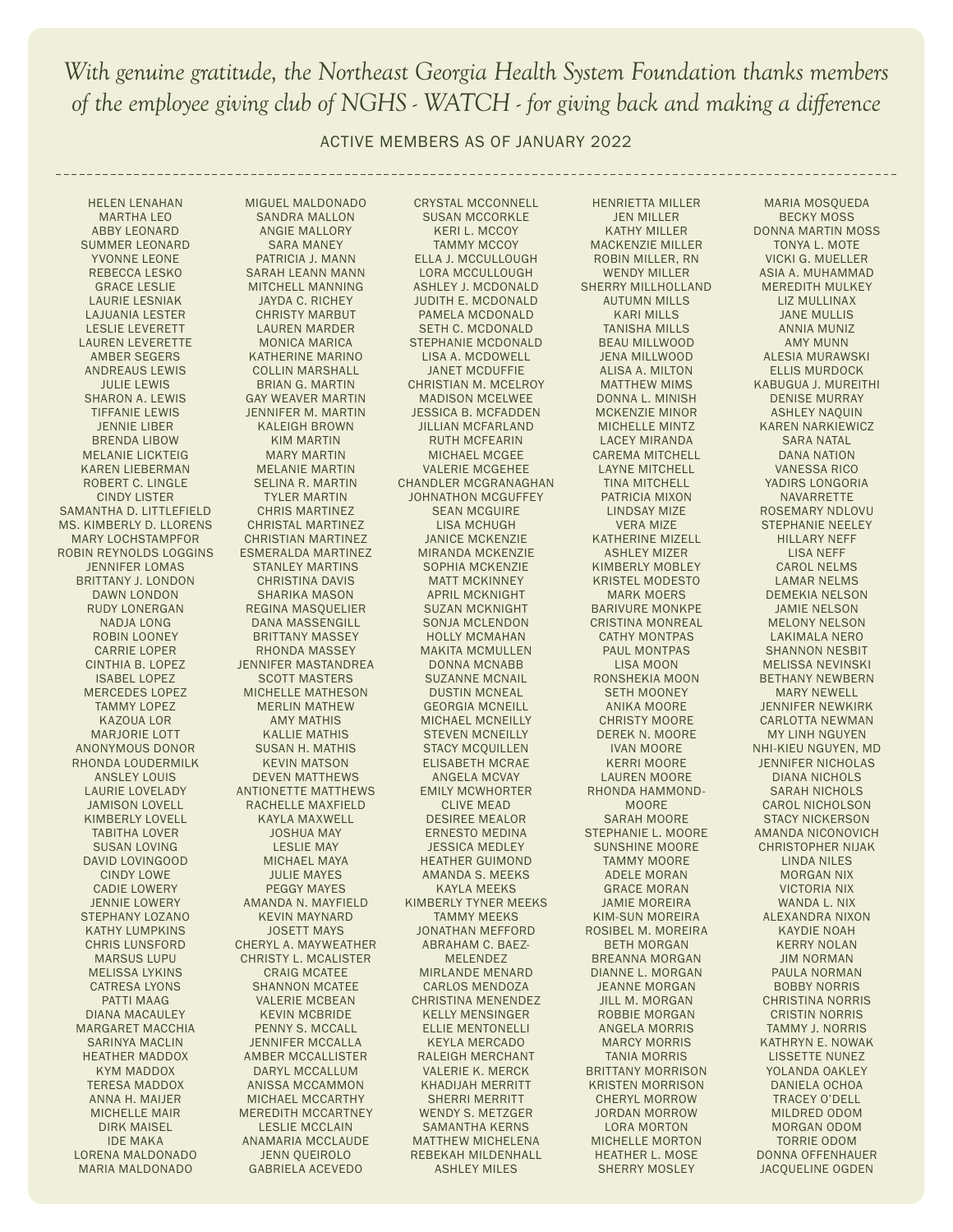ACTIVE MEMBERS AS OF JANUARY 2022

HELEN LENAHAN MARTHA LEO ABBY LEONARD SUMMER LEONARD YVONNE LEONE REBECCA LESKO GRACE LESLIE LAURIE LESNIAK LAJUANIA LESTER LESLIE LEVERETT LAUREN LEVERETTE AMBER SEGERS ANDREAUS LEWIS JULIE LEWIS SHARON A. LEWIS TIFFANIE LEWIS JENNIE LIBER BRENDA LIBOW MELANIE LICKTEIG KAREN LIEBERMAN ROBERT C. LINGLE CINDY LISTER SAMANTHA D. LITTLEFIELD MS. KIMBERLY D. LLORENS MARY LOCHSTAMPFOR ROBIN REYNOLDS LOGGINS JENNIFER LOMAS BRITTANY J. LONDON DAWN LONDON RUDY LONERGAN NADJA LONG ROBIN LOONEY CARRIE LOPER CINTHIA B. LOPEZ ISABEL LOPEZ MERCEDES LOPEZ TAMMY LOPEZ KAZOUA LOR MARJORIE LOTT ANONYMOUS DONOR RHONDA LOUDERMILK ANSLEY LOUIS LAURIE LOVELADY JAMISON LOVELL KIMBERLY LOVELL TABITHA LOVER SUSAN LOVING DAVID LOVINGOOD CINDY LOWE CADIE LOWERY JENNIE LOWERY STEPHANY LOZANO KATHY LUMPKINS CHRIS LUNSFORD MARSUS LUPU MELISSA LYKINS CATRESA LYONS PATTI MAAG DIANA MACAULEY MARGARET MACCHIA SARINYA MACLIN HEATHER MADDOX KYM MADDOX TERESA MADDOX ANNA H. MAIJER MICHELLE MAIR DIRK MAISEL IDE MAKA LORENA MALDONADO MARIA MALDONADO

MIGUEL MALDONADO SANDRA MALLON ANGIE MALLORY SARA MANEY PATRICIA J. MANN SARAH LEANN MANN MITCHELL MANNING JAYDA C. RICHEY CHRISTY MARBUT LAUREN MARDER MONICA MARICA KATHERINE MARINO COLLIN MARSHALL BRIAN G. MARTIN GAY WEAVER MARTIN JENNIFER M. MARTIN KALEIGH BROWN KIM MARTIN MARY MARTIN MELANIE MARTIN SELINA R. MARTIN TYLER MARTIN CHRIS MARTINEZ CHRISTAL MARTINEZ CHRISTIAN MARTINEZ ESMERALDA MARTINEZ STANLEY MARTINS CHRISTINA DAVIS SHARIKA MASON REGINA MASQUELIER DANA MASSENGILL BRITTANY MASSEY RHONDA MASSEY JENNIFER MASTANDREA SCOTT MASTERS MICHELLE MATHESON MERLIN MATHEW AMY MATHIS KALLIE MATHIS SUSAN H. MATHIS KEVIN MATSON DEVEN MATTHEWS ANTIONETTE MATTHEWS RACHELLE MAXFIELD KAYLA MAXWELL JOSHUA MAY LESLIE MAY MICHAEL MAYA JULIE MAYES PEGGY MAYES AMANDA N. MAYFIELD KEVIN MAYNARD JOSETT MAYS CHERYL A. MAYWEATHER CHRISTY L. MCALISTER CRAIG MCATEE SHANNON MCATEE VALERIE MCBEAN KEVIN MCBRIDE PENNY S. MCCALL JENNIFER MCCALLA AMBER MCCALLISTER DARYL MCCALLUM ANISSA MCCAMMON MICHAEL MCCARTHY MEREDITH MCCARTNEY LESLIE MCCLAIN ANAMARIA MCCLAUDE JENN QUEIROLO GABRIELA ACEVEDO

CRYSTAL MCCONNELL SUSAN MCCORKLE KERI L. MCCOY TAMMY MCCOY ELLA J. MCCULLOUGH LORA MCCULLOUGH ASHLEY J. MCDONALD JUDITH E. MCDONALD PAMELA MCDONALD SETH C. MCDONALD STEPHANIE MCDONALD LISA A. MCDOWELL JANET MCDUFFIE CHRISTIAN M. MCELROY MADISON MCELWEE JESSICA B. MCFADDEN JILLIAN MCFARLAND RUTH MCFEARIN MICHAEL MCGEE VALERIE MCGEHEE CHANDLER MCGRANAGHAN JOHNATHON MCGUFFEY SEAN MCGUIRE LISA MCHUGH JANICE MCKENZIE MIRANDA MCKENZIE SOPHIA MCKENZIE MATT MCKINNEY APRIL MCKNIGHT SUZAN MCKNIGHT SONJA MCLENDON HOLLY MCMAHAN MAKITA MCMULLEN DONNA MCNABB SUZANNE MCNAIL DUSTIN MCNEAL GEORGIA MCNEILL MICHAEL MCNEILLY STEVEN MCNEILLY STACY MCQUILLEN ELISABETH MCRAE ANGELA MCVAY EMILY MCWHORTER CLIVE MEAD DESIREE MEALOR ERNESTO MEDINA JESSICA MEDLEY HEATHER GUIMOND AMANDA S. MEEKS KAYLA MEEKS KIMBERLY TYNER MEEKS TAMMY MEEKS JONATHAN MEFFORD ABRAHAM C. BAEZ-MELENDEZ MIRLANDE MENARD CARLOS MENDOZA CHRISTINA MENENDEZ KELLY MENSINGER ELLIE MENTONELLI KEYLA MERCADO RALEIGH MERCHANT VALERIE K. MERCK KHADIJAH MERRITT SHERRI MERRITT WENDY S. METZGER SAMANTHA KERNS MATTHEW MICHELENA REBEKAH MILDENHALL ASHLEY MILES

HENRIETTA MILLER JEN MILLER KATHY MILLER MACKENZIE MILLER ROBIN MILLER, RN WENDY MILLER SHERRY MILLHOLLAND AUTUMN MILLS KARI MILLS TANISHA MILLS BEAU MILLWOOD JENA MILLWOOD ALISA A. MILTON MATTHEW MIMS DONNA L. MINISH MCKENZIE MINOR MICHELLE MINTZ LACEY MIRANDA CAREMA MITCHELL LAYNE MITCHELL TINA MITCHELL PATRICIA MIXON LINDSAY MIZE VERA MIZE KATHERINE MIZELL ASHLEY MIZER KIMBERLY MOBLEY KRISTEL MODESTO MARK MOERS BARIVURE MONKPE CRISTINA MONREAL CATHY MONTPAS PAUL MONTPAS LISA MOON RONSHEKIA MOON SETH MOONEY ANIKA MOORE CHRISTY MOORE DEREK N. MOORE IVAN MOORE KERRI MOORE LAUREN MOORE RHONDA HAMMOND-MOORE SARAH MOORE STEPHANIE L. MOORE SUNSHINE MOORE TAMMY MOORE ADELE MORAN GRACE MORAN JAMIE MOREIRA KIM-SUN MOREIRA ROSIBEL M. MOREIRA BETH MORGAN BREANNA MORGAN DIANNE L. MORGAN JEANNE MORGAN JILL M. MORGAN ROBBIE MORGAN ANGELA MORRIS MARCY MORRIS TANIA MORRIS BRITTANY MORRISON KRISTEN MORRISON CHERYL MORROW JORDAN MORROW LORA MORTON MICHELLE MORTON HEATHER L. MOSE SHERRY MOSLEY

MARIA MOSQUEDA BECKY MOSS DONNA MARTIN MOSS TONYA L. MOTE VICKI G. MUELLER ASIA A. MUHAMMAD MEREDITH MULKEY LIZ MULLINAX JANE MULLIS ANNIA MUNIZ AMY MUNN ALESIA MURAWSKI ELLIS MURDOCK KABUGUA J. MUREITHI DENISE MURRAY ASHLEY NAQUIN KAREN NARKIEWICZ SARA NATAL DANA NATION VANESSA RICO YADIRS LONGORIA NAVARRETTE ROSEMARY NDLOVU STEPHANIE NEELEY HILLARY NEFF LISA NEFF CAROL NELMS LAMAR NELMS DEMEKIA NELSON JAMIE NELSON MELONY NELSON LAKIMALA NERO SHANNON NESBIT MELISSA NEVINSKI BETHANY NEWBERN MARY NEWELL JENNIFER NEWKIRK CARLOTTA NEWMAN MY LINH NGUYEN NHI-KIEU NGUYEN, MD JENNIFER NICHOLAS DIANA NICHOLS SARAH NICHOLS CAROL NICHOLSON STACY NICKERSON AMANDA NICONOVICH CHRISTOPHER NIJAK LINDA NILES MORGAN NIX VICTORIA NIX WANDA L. NIX ALEXANDRA NIXON KAYDIE NOAH KERRY NOLAN JIM NORMAN PAULA NORMAN BOBBY NORRIS CHRISTINA NORRIS CRISTIN NORRIS TAMMY J. NORRIS KATHRYN E. NOWAK LISSETTE NUNEZ YOLANDA OAKLEY DANIELA OCHOA TRACEY O'DELL MILDRED ODOM MORGAN ODOM TORRIE ODOM DONNA OFFENHAUER JACQUELINE OGDEN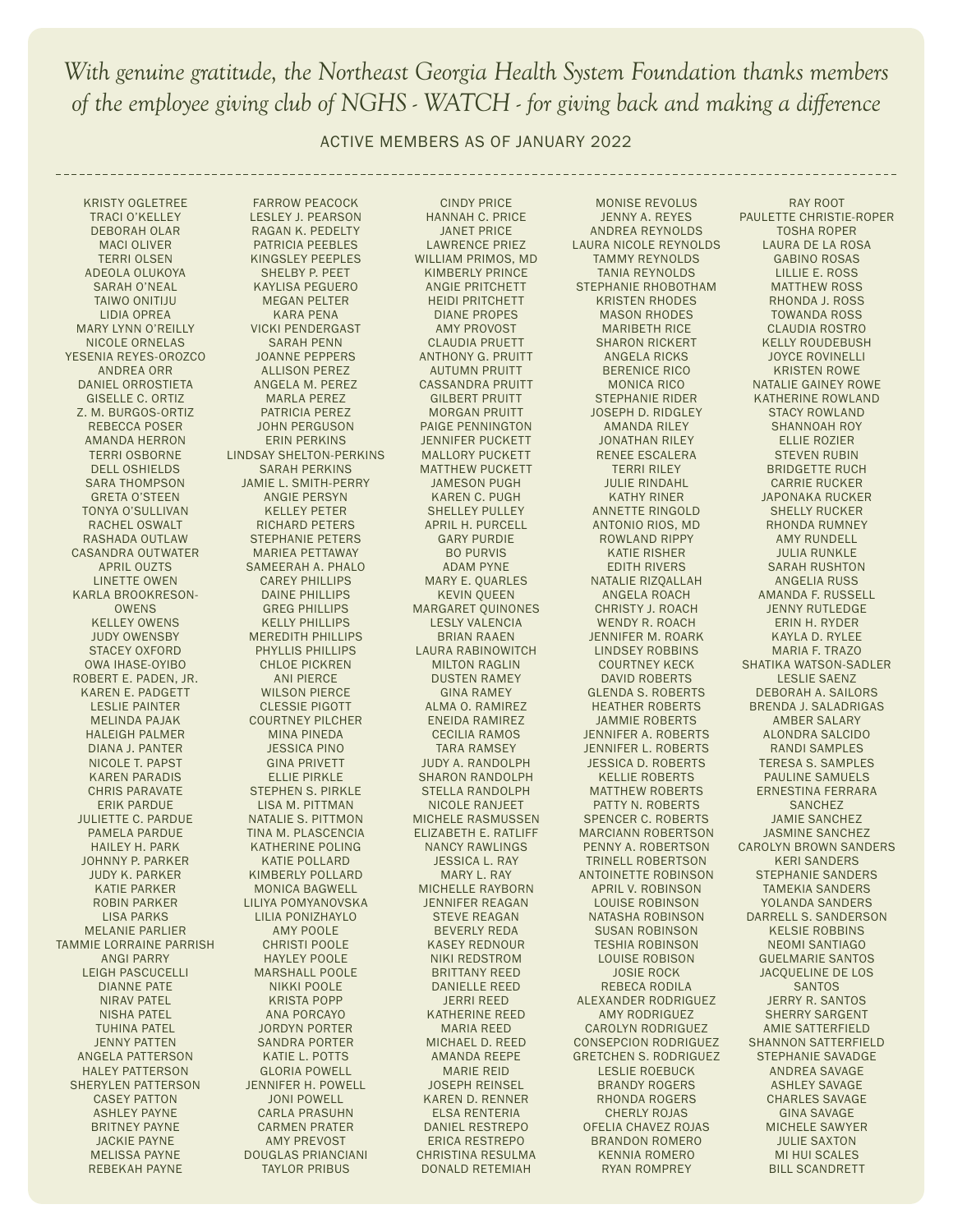ACTIVE MEMBERS AS OF JANUARY 2022

KRISTY OGLETREE TRACI O'KELLEY DEBORAH OLAR MACI OLIVER TERRI OLSEN ADEOLA OLUKOYA SARAH O'NEAL TAIWO ONITIJU LIDIA OPREA MARY LYNN O'REILLY NICOLE ORNELAS YESENIA REYES-OROZCO ANDREA ORR DANIEL ORROSTIETA GISELLE C. ORTIZ Z. M. BURGOS-ORTIZ REBECCA POSER AMANDA HERRON TERRI OSBORNE DELL OSHIELDS SARA THOMPSON GRETA O'STEEN TONYA O'SULLIVAN RACHEL OSWALT RASHADA OUTLAW CASANDRA OUTWATER APRIL OUZTS LINETTE OWEN KARLA BROOKRESON-OWENS KELLEY OWENS JUDY OWENSBY STACEY OXFORD OWA IHASE-OYIBO ROBERT E. PADEN, JR. KAREN E. PADGETT LESLIE PAINTER MELINDA PAJAK HALEIGH PALMER DIANA J. PANTER NICOLE T. PAPST KAREN PARADIS CHRIS PARAVATE ERIK PARDUE JULIETTE C. PARDUE PAMELA PARDUE HAILEY H. PARK JOHNNY P. PARKER JUDY K. PARKER KATIE PARKER ROBIN PARKER LISA PARKS MELANIE PARLIER TAMMIE LORRAINE PARRISH ANGI PARRY LEIGH PASCUCELLI DIANNE PATE NIRAV PATEL NISHA PATEL TUHINA PATEL JENNY PATTEN ANGELA PATTERSON HALEY PATTERSON SHERYLEN PATTERSON CASEY PATTON ASHLEY PAYNE BRITNEY PAYNE JACKIE PAYNE MELISSA PAYNE REBEKAH PAYNE

FARROW PEACOCK LESLEY J. PEARSON RAGAN K. PEDELTY PATRICIA PEEBLES KINGSLEY PEEPLES SHELBY P. PEET KAYLISA PEGUERO MEGAN PELTER KARA PENA VICKI PENDERGAST SARAH PENN JOANNE PEPPERS ALLISON PEREZ ANGELA M. PEREZ MARLA PEREZ PATRICIA PEREZ JOHN PERGUSON ERIN PERKINS LINDSAY SHELTON-PERKINS SARAH PERKINS JAMIE L. SMITH-PERRY ANGIE PERSYN KELLEY PETER RICHARD PETERS STEPHANIE PETERS MARIEA PETTAWAY SAMEERAH A. PHALO CAREY PHILLIPS DAINE PHILLIPS GREG PHILLIPS KELLY PHILLIPS MEREDITH PHILLIPS PHYLLIS PHILLIPS CHLOE PICKREN ANI PIERCE WILSON PIERCE CLESSIE PIGOTT COURTNEY PILCHER MINA PINEDA JESSICA PINO GINA PRIVETT ELLIE PIRKLE STEPHEN S. PIRKLE LISA M. PITTMAN NATALIE S. PITTMON TINA M. PLASCENCIA KATHERINE POLING KATIE POLLARD KIMBERLY POLLARD MONICA BAGWELL LILIYA POMYANOVSKA LILIA PONIZHAYLO AMY POOLE CHRISTI POOLE HAYLEY POOLE MARSHALL POOLE NIKKI POOLE KRISTA POPP ANA PORCAYO JORDYN PORTER SANDRA PORTER KATIE L. POTTS GLORIA POWELL JENNIFER H. POWELL JONI POWELL CARLA PRASUHN CARMEN PRATER AMY PREVOST DOUGLAS PRIANCIANI TAYLOR PRIBUS

CINDY PRICE HANNAH C. PRICE JANET PRICE LAWRENCE PRIEZ WILLIAM PRIMOS, MD KIMBERLY PRINCE ANGIE PRITCHETT HEIDI PRITCHETT DIANE PROPES AMY PROVOST CLAUDIA PRUETT ANTHONY G. PRUITT AUTUMN PRUITT CASSANDRA PRUITT GILBERT PRUITT MORGAN PRUITT PAIGE PENNINGTON JENNIFER PUCKETT MALLORY PUCKETT MATTHEW PUCKETT JAMESON PUGH KAREN C. PUGH SHELLEY PULLEY APRIL H. PURCELL GARY PURDIE BO PURVIS ADAM PYNE MARY E. QUARLES KEVIN QUEEN MARGARET QUINONES LESLY VALENCIA BRIAN RAAEN LAURA RABINOWITCH MILTON RAGLIN DUSTEN RAMEY GINA RAMEY ALMA O. RAMIREZ ENEIDA RAMIREZ CECILIA RAMOS TARA RAMSEY JUDY A. RANDOLPH SHARON RANDOLPH STELLA RANDOLPH NICOLE RANJEET MICHELE RASMUSSEN ELIZABETH E. RATLIFF NANCY RAWLINGS JESSICA L. RAY MARY L. RAY MICHELLE RAYBORN JENNIFER REAGAN STEVE REAGAN BEVERLY REDA KASEY REDNOUR NIKI REDSTROM BRITTANY REED DANIELLE REED JERRI REED KATHERINE REED MARIA REED MICHAEL D. REED AMANDA REEPE MARIE REID JOSEPH REINSEL KAREN D. RENNER ELSA RENTERIA DANIEL RESTREPO ERICA RESTREPO CHRISTINA RESULMA DONALD RETEMIAH

MONISE REVOLUS JENNY A. REYES ANDREA REYNOLDS LAURA NICOLE REYNOLDS TAMMY REYNOLDS TANIA REYNOLDS STEPHANIE RHOBOTHAM KRISTEN RHODES MASON RHODES MARIBETH RICE SHARON RICKERT ANGELA RICKS BERENICE RICO MONICA RICO STEPHANIE RIDER JOSEPH D. RIDGLEY AMANDA RILEY JONATHAN RILEY RENEE ESCALERA TERRI RILEY JULIE RINDAHL KATHY RINER ANNETTE RINGOLD ANTONIO RIOS, MD ROWLAND RIPPY KATIE RISHER EDITH RIVERS NATALIE RIZQALLAH ANGELA ROACH CHRISTY J. ROACH WENDY R. ROACH JENNIFER M. ROARK LINDSEY ROBBINS COURTNEY KECK DAVID ROBERTS GLENDA S. ROBERTS HEATHER ROBERTS JAMMIE ROBERTS JENNIFER A. ROBERTS JENNIFER L. ROBERTS JESSICA D. ROBERTS KELLIE ROBERTS MATTHEW ROBERTS PATTY N. ROBERTS SPENCER C. ROBERTS MARCIANN ROBERTSON PENNY A. ROBERTSON TRINELL ROBERTSON ANTOINETTE ROBINSON APRIL V. ROBINSON LOUISE ROBINSON NATASHA ROBINSON SUSAN ROBINSON TESHIA ROBINSON LOUISE ROBISON JOSIE ROCK REBECA RODILA ALEXANDER RODRIGUEZ AMY RODRIGUEZ CAROLYN RODRIGUEZ CONSEPCION RODRIGUEZ GRETCHEN S. RODRIGUEZ LESLIE ROEBUCK BRANDY ROGERS RHONDA ROGERS CHERLY ROJAS OFELIA CHAVEZ ROJAS BRANDON ROMERO KENNIA ROMERO RYAN ROMPREY

RAY ROOT PAULETTE CHRISTIE-ROPER TOSHA ROPER LAURA DE LA ROSA GABINO ROSAS LILLIE E. ROSS MATTHEW ROSS RHONDA J. ROSS TOWANDA ROSS CLAUDIA ROSTRO KELLY ROUDEBUSH JOYCE ROVINELLI KRISTEN ROWE NATALIE GAINEY ROWE KATHERINE ROWLAND STACY ROWLAND SHANNOAH ROY ELLIE ROZIER STEVEN RUBIN BRIDGETTE RUCH CARRIE RUCKER JAPONAKA RUCKER SHELLY RUCKER RHONDA RUMNEY AMY RUNDELL JULIA RUNKLE SARAH RUSHTON ANGELIA RUSS AMANDA F. RUSSELL JENNY RUTLEDGE ERIN H. RYDER KAYLA D. RYLEE MARIA F. TRAZO SHATIKA WATSON-SADLER LESLIE SAENZ DEBORAH A. SAILORS BRENDA J. SALADRIGAS AMBER SALARY ALONDRA SALCIDO RANDI SAMPLES TERESA S. SAMPLES PAULINE SAMUELS ERNESTINA FERRARA SANCHEZ JAMIE SANCHEZ JASMINE SANCHEZ CAROLYN BROWN SANDERS KERI SANDERS STEPHANIE SANDERS TAMEKIA SANDERS YOLANDA SANDERS DARRELL S. SANDERSON KELSIE ROBBINS NEOMI SANTIAGO GUELMARIE SANTOS JACQUELINE DE LOS SANTOS JERRY R. SANTOS SHERRY SARGENT AMIE SATTERFIELD SHANNON SATTERFIELD STEPHANIE SAVADGE ANDREA SAVAGE ASHLEY SAVAGE CHARLES SAVAGE GINA SAVAGE MICHELE SAWYER JULIE SAXTON MI HUI SCALES BILL SCANDRETT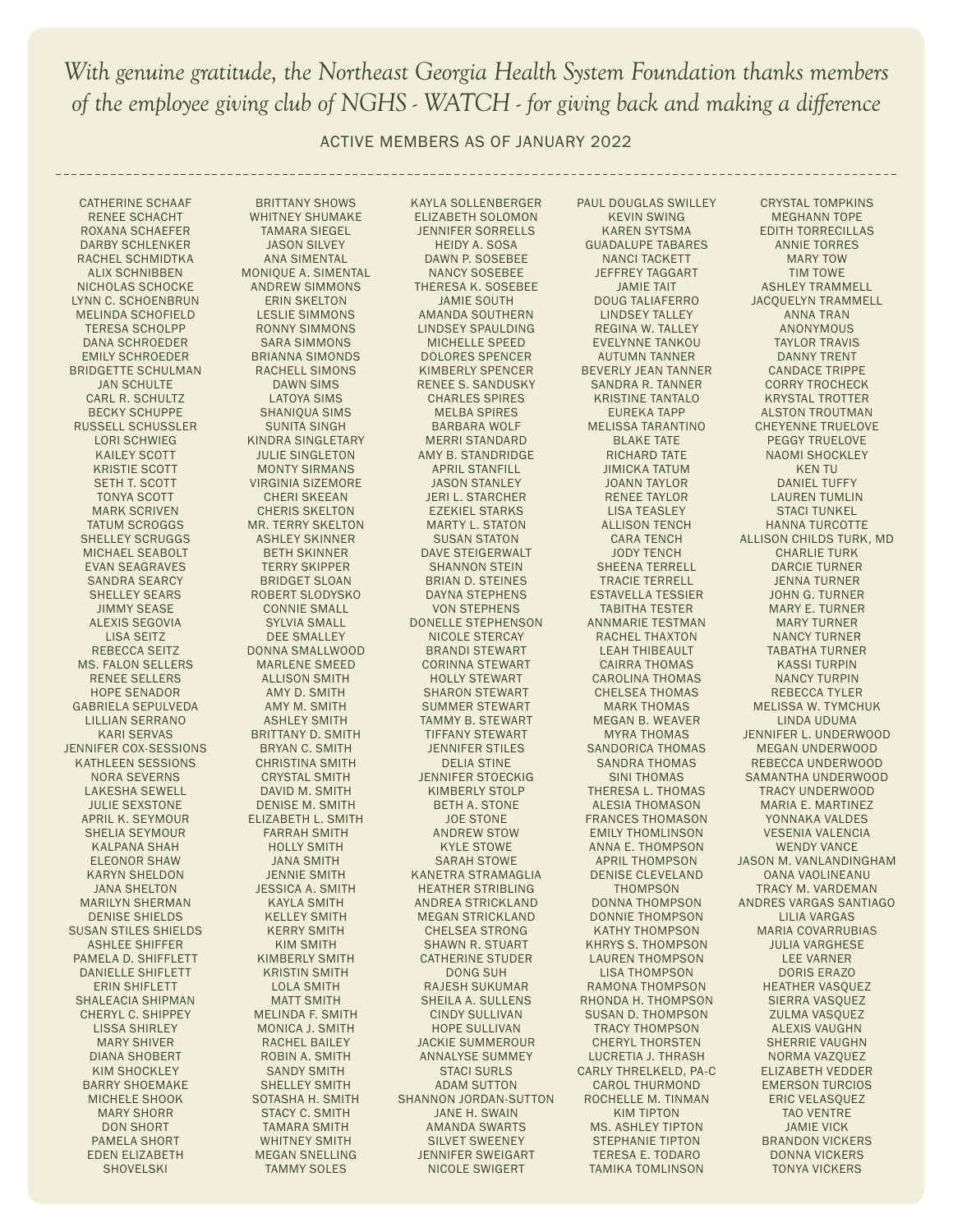ACTIVE MEMBERS AS OF JANUARY 2022

BRITTANY SHOWS WHITNEY SHUMAKE TAMARA SIEGEL JASON SILVEY ANA SIMENTAL MONIQUE A. SIMENTAL ANDREW SIMMONS ERIN SKELTON LESLIE SIMMONS RONNY SIMMONS SARA SIMMONS BRIANNA SIMONDS RACHELL SIMONS DAWN SIMS LATOYA SIMS SHANIQUA SIMS SUNITA SINGH KINDRA SINGLETARY JULIE SINGLETON MONTY SIRMANS VIRGINIA SIZEMORE CHERI SKEEAN CHERIS SKELTON MR. TERRY SKELTON ASHLEY SKINNER BETH SKINNER TERRY SKIPPER BRIDGET SLOAN ROBERT SLODYSKO CONNIE SMALL SYLVIA SMALL DEE SMALLEY DONNA SMALLWOOD MARLENE SMEED ALLISON SMITH AMY D. SMITH AMY M. SMITH ASHLEY SMITH BRITTANY D. SMITH BRYAN C. SMITH CHRISTINA SMITH CRYSTAL SMITH DAVID M. SMITH DENISE M. SMITH ELIZABETH L. SMITH FARRAH SMITH HOLLY SMITH JANA SMITH JENNIE SMITH JESSICA A. SMITH KAYLA SMITH KELLEY SMITH KERRY SMITH KIM SMITH KIMBERLY SMITH KRISTIN SMITH LOLA SMITH MATT SMITH MELINDA F. SMITH MONICA J. SMITH RACHEL BAILEY ROBIN A. SMITH SANDY SMITH SHELLEY SMITH SOTASHA H. SMITH STACY C. SMITH TAMARA SMITH WHITNEY SMITH MEGAN SNELLING TAMMY SOLES

CATHERINE SCHAAF RENEE SCHACHT ROXANA SCHAEFER DARBY SCHLENKER RACHEL SCHMIDTKA ALIX SCHNIBBEN NICHOLAS SCHOCKE LYNN C. SCHOENBRUN MELINDA SCHOFIELD TERESA SCHOLPP DANA SCHROEDER EMILY SCHROEDER BRIDGETTE SCHULMAN JAN SCHULTE CARL R. SCHULTZ BECKY SCHUPPE RUSSELL SCHUSSLER LORI SCHWIEG KAILEY SCOTT KRISTIE SCOTT SETH T. SCOTT TONYA SCOTT MARK SCRIVEN TATUM SCROGGS SHELLEY SCRUGGS MICHAEL SEABOLT EVAN SEAGRAVES SANDRA SEARCY SHELLEY SEARS JIMMY SEASE ALEXIS SEGOVIA LISA SEITZ REBECCA SEITZ MS. FALON SELLERS RENEE SELLERS HOPE SENADOR GABRIELA SEPULVEDA LILLIAN SERRANO KARI SERVAS JENNIFER COX-SESSIONS KATHLEEN SESSIONS NORA SEVERNS LAKESHA SEWELL JULIE SEXSTONE APRIL K. SEYMOUR SHELIA SEYMOUR KALPANA SHAH ELEONOR SHAW KARYN SHELDON JANA SHELTON MARILYN SHERMAN DENISE SHIELDS SUSAN STILES SHIELDS ASHLEE SHIFFER PAMELA D. SHIFFLETT DANIELLE SHIFLETT ERIN SHIFLETT SHALEACIA SHIPMAN CHERYL C. SHIPPEY LISSA SHIRLEY MARY SHIVER DIANA SHOBERT KIM SHOCKLEY BARRY SHOEMAKE MICHELE SHOOK MARY SHORR DON SHORT PAMELA SHORT EDEN ELIZABETH SHOVELSKI

KAYLA SOLLENBERGER ELIZABETH SOLOMON JENNIFER SORRELLS HEIDY A. SOSA DAWN P. SOSEBEE NANCY SOSEBEE THERESA K. SOSEBEE JAMIE SOUTH AMANDA SOUTHERN LINDSEY SPAULDING MICHELLE SPEED DOLORES SPENCER KIMBERLY SPENCER RENEE S. SANDUSKY CHARLES SPIRES MELBA SPIRES BARBARA WOLF MERRI STANDARD AMY B. STANDRIDGE APRIL STANFILL JASON STANLEY JERI L. STARCHER EZEKIEL STARKS MARTY L. STATON SUSAN STATON DAVE STEIGERWALT SHANNON STEIN BRIAN D. STEINES DAYNA STEPHENS VON STEPHENS DONELLE STEPHENSON NICOLE STERCAY BRANDI STEWART CORINNA STEWART HOLLY STEWART SHARON STEWART SUMMER STEWART TAMMY B. STEWART TIFFANY STEWART JENNIFER STILES DELIA STINE JENNIFER STOECKIG KIMBERLY STOLP BETH A. STONE JOE STONE ANDREW STOW KYLE STOWE SARAH STOWE KANETRA STRAMAGLIA HEATHER STRIBLING ANDREA STRICKLAND MEGAN STRICKLAND CHELSEA STRONG SHAWN R. STUART CATHERINE STUDER DONG SUH RAJESH SUKUMAR SHEILA A. SULLENS CINDY SULLIVAN HOPE SULLIVAN JACKIE SUMMEROUR ANNALYSE SUMMEY STACI SURLS ADAM SUTTON SHANNON JORDAN-SUTTON JANE H. SWAIN AMANDA SWARTS SILVET SWEENEY JENNIFER SWEIGART NICOLE SWIGERT

PAUL DOUGLAS SWILLEY KEVIN SWING KAREN SYTSMA GUADALUPE TABARES NANCI TACKETT JEFFREY TAGGART JAMIE TAIT DOUG TALIAFERRO LINDSEY TALLEY REGINA W. TALLEY EVELYNNE TANKOU AUTUMN TANNER BEVERLY JEAN TANNER SANDRA R. TANNER KRISTINE TANTALO EUREKA TAPP MELISSA TARANTINO BLAKE TATE RICHARD TATE JIMICKA TATUM JOANN TAYLOR RENEE TAYLOR LISA TEASLEY ALLISON TENCH CARA TENCH JODY TENCH SHEENA TERRELL TRACIE TERRELL ESTAVELLA TESSIER TABITHA TESTER ANNMARIE TESTMAN RACHEL THAXTON LEAH THIBEAULT CAIRRA THOMAS CAROLINA THOMAS CHELSEA THOMAS MARK THOMAS MEGAN B. WEAVER MYRA THOMAS SANDORICA THOMAS SANDRA THOMAS SINI THOMAS THERESA L. THOMAS ALESIA THOMASON FRANCES THOMASON EMILY THOMLINSON ANNA E. THOMPSON APRIL THOMPSON DENISE CLEVELAND THOMPSON DONNA THOMPSON DONNIE THOMPSON KATHY THOMPSON KHRYS S. THOMPSON LAUREN THOMPSON LISA THOMPSON RAMONA THOMPSON RHONDA H. THOMPSON SUSAN D. THOMPSON TRACY THOMPSON CHERYL THORSTEN LUCRETIA J. THRASH CARLY THRELKELD, PA-C CAROL THURMOND ROCHELLE M. TINMAN KIM TIPTON MS. ASHLEY TIPTON STEPHANIE TIPTON TERESA E. TODARO TAMIKA TOMLINSON

CRYSTAL TOMPKINS MEGHANN TOPE EDITH TORRECILLAS ANNIE TORRES MARY TOW TIM TOWE ASHLEY TRAMMELL JACQUELYN TRAMMELL ANNA TRAN ANONYMOUS TAYLOR TRAVIS DANNY TRENT CANDACE TRIPPE CORRY TROCHECK KRYSTAL TROTTER ALSTON TROUTMAN CHEYENNE TRUELOVE PEGGY TRUELOVE NAOMI SHOCKLEY KEN TU DANIEL TUFFY LAUREN TUMLIN STACI TUNKEL HANNA TURCOTTE ALLISON CHILDS TURK, MD CHARLIE TURK DARCIE TURNER JENNA TURNER JOHN G. TURNER MARY E. TURNER MARY TURNER NANCY TURNER TABATHA TURNER KASSI TURPIN NANCY TURPIN REBECCA TYLER MELISSA W. TYMCHUK LINDA UDUMA JENNIFER L. UNDERWOOD MEGAN UNDERWOOD REBECCA UNDERWOOD SAMANTHA UNDERWOOD TRACY UNDERWOOD MARIA E. MARTINEZ YONNAKA VALDES VESENIA VALENCIA WENDY VANCE JASON M. VANLANDINGHAM OANA VAOLINEANU TRACY M. VARDEMAN ANDRES VARGAS SANTIAGO LILIA VARGAS MARIA COVARRUBIAS JULIA VARGHESE LEE VARNER DORIS ERAZO HEATHER VASQUEZ SIERRA VASQUEZ ZULMA VASQUEZ ALEXIS VAUGHN SHERRIE VAUGHN NORMA VAZQUEZ ELIZABETH VEDDER EMERSON TURCIOS ERIC VELASQUEZ TAO VENTRE JAMIE VICK BRANDON VICKERS DONNA VICKERS TONYA VICKERS